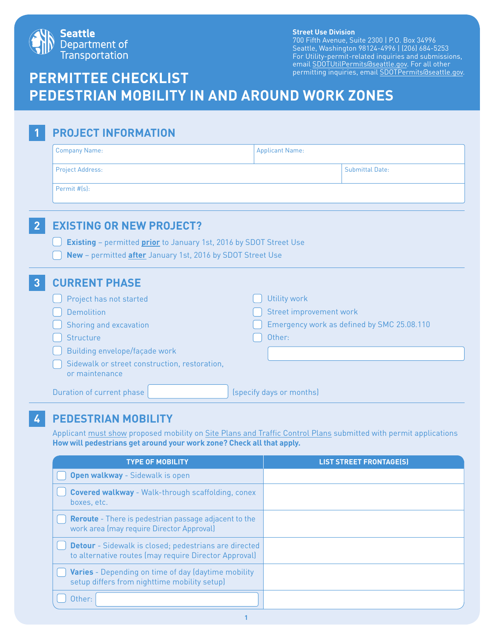

#### **Street Use Division**

700 Fifth Avenue, Suite 2300 | P.O. Box 34996 Seattle, Washington 98124-4996 | (206) 684-5253 For Utility-permit-related inquiries and submissions, email SDOTUtilPermits@seattle.gov. For all other permitting inquiries, email SDOTPermits@seattle.gov.

# **PERMITTEE CHECKLIST PEDESTRIAN MOBILITY IN AND AROUND WORK ZONES**

| <b>PROJECT INFORMATION</b>                                                                                                                     |                                            |
|------------------------------------------------------------------------------------------------------------------------------------------------|--------------------------------------------|
| <b>Company Name:</b>                                                                                                                           | <b>Applicant Name:</b>                     |
| <b>Project Address:</b>                                                                                                                        | <b>Submittal Date:</b>                     |
| Permit #[s]:                                                                                                                                   |                                            |
| <b>EXISTING OR NEW PROJECT?</b><br>$\overline{2}$                                                                                              |                                            |
| <b>Existing</b> - permitted <b>prior</b> to January 1st, 2016 by SDOT Street Use<br>New - permitted after January 1st, 2016 by SDOT Street Use |                                            |
| <b>CURRENT PHASE</b><br>$\mathbf{3}$                                                                                                           |                                            |
| Project has not started                                                                                                                        | <b>Utility work</b>                        |
| <b>Demolition</b>                                                                                                                              | Street improvement work                    |
| Shoring and excavation                                                                                                                         | Emergency work as defined by SMC 25.08.110 |
| Structure                                                                                                                                      | Other:                                     |
| Building envelope/façade work                                                                                                                  |                                            |
| Sidewalk or street construction, restoration,<br>or maintenance                                                                                |                                            |
| Duration of current phase                                                                                                                      | (specify days or months)                   |

## **4 PEDESTRIAN MOBILITY**

Applicant must show proposed mobility on Site Plans and Traffic Control Plans submitted with permit applications **How will pedestrians get around your work zone? Check all that apply.**

| <b>TYPE OF MOBILITY</b>                                                                                               | <b>LIST STREET FRONTAGE(S)</b> |
|-----------------------------------------------------------------------------------------------------------------------|--------------------------------|
| <b>Open walkway</b> - Sidewalk is open                                                                                |                                |
| <b>Covered walkway - Walk-through scaffolding, conex</b><br>boxes, etc.                                               |                                |
| <b>Reroute</b> - There is pedestrian passage adjacent to the<br>work area (may require Director Approval)             |                                |
| <b>Detour</b> - Sidewalk is closed; pedestrians are directed<br>to alternative routes (may require Director Approval) |                                |
| Varies - Depending on time of day (daytime mobility<br>setup differs from nighttime mobility setup)                   |                                |
| Other:                                                                                                                |                                |